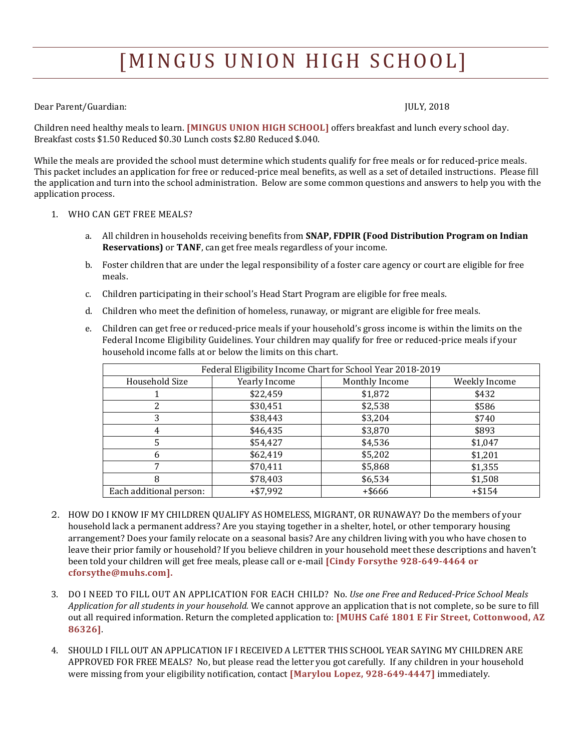# [MINGUS UNION HIGH SCHOOL]

### Dear Parent/Guardian: JULY, 2018

Children need healthy meals to learn. **[MINGUS UNION HIGH SCHOOL]** offers breakfast and lunch every school day. Breakfast costs \$1.50 Reduced \$0.30 Lunch costs \$2.80 Reduced \$.040.

While the meals are provided the school must determine which students qualify for free meals or for reduced-price meals. This packet includes an application for free or reduced-price meal benefits, as well as a set of detailed instructions. Please fill the application and turn into the school administration. Below are some common questions and answers to help you with the application process.

## 1. WHO CAN GET FREE MEALS?

- a. All children in households receiving benefits from **SNAP, FDPIR (Food Distribution Program on Indian Reservations)** or **TANF**, can get free meals regardless of your income.
- b. Foster children that are under the legal responsibility of a foster care agency or court are eligible for free meals.
- c. Children participating in their school's Head Start Program are eligible for free meals.
- d. Children who meet the definition of homeless, runaway, or migrant are eligible for free meals.
- e. Children can get free or reduced-price meals if your household's gross income is within the limits on the Federal Income Eligibility Guidelines. Your children may qualify for free or reduced-price meals if your household income falls at or below the limits on this chart.

| Federal Eligibility Income Chart for School Year 2018-2019 |                      |                |               |
|------------------------------------------------------------|----------------------|----------------|---------------|
| Household Size                                             | <b>Yearly Income</b> | Monthly Income | Weekly Income |
|                                                            | \$22,459             | \$1,872        | \$432         |
|                                                            | \$30,451             | \$2,538        | \$586         |
| 3                                                          | \$38,443             | \$3,204        | \$740         |
| 4                                                          | \$46,435             | \$3,870        | \$893         |
| 5                                                          | \$54,427             | \$4,536        | \$1,047       |
| h                                                          | \$62,419             | \$5,202        | \$1,201       |
|                                                            | \$70,411             | \$5,868        | \$1,355       |
| 8                                                          | \$78,403             | \$6,534        | \$1,508       |
| Each additional person:                                    | $+ $7,992$           | $+$ \$666      | $+ $154$      |

- 2. HOW DO I KNOW IF MY CHILDREN QUALIFY AS HOMELESS, MIGRANT, OR RUNAWAY? Do the members of your household lack a permanent address? Are you staying together in a shelter, hotel, or other temporary housing arrangement? Does your family relocate on a seasonal basis? Are any children living with you who have chosen to leave their prior family or household? If you believe children in your household meet these descriptions and haven't been told your children will get free meals, please call or e-mail **[Cindy Forsythe 928-649-4464 or cforsythe@muhs.com].**
- 3. DO I NEED TO FILL OUT AN APPLICATION FOR EACH CHILD? No. *Use one Free and Reduced-Price School Meals Application for all students in your household.* We cannot approve an application that is not complete, so be sure to fill out all required information. Return the completed application to: **[MUHS Café 1801 E Fir Street, Cottonwood, AZ 86326]**.
- 4. SHOULD I FILL OUT AN APPLICATION IF I RECEIVED A LETTER THIS SCHOOL YEAR SAYING MY CHILDREN ARE APPROVED FOR FREE MEALS? No, but please read the letter you got carefully. If any children in your household were missing from your eligibility notification, contact **[Marylou Lopez, 928-649-4447]** immediately.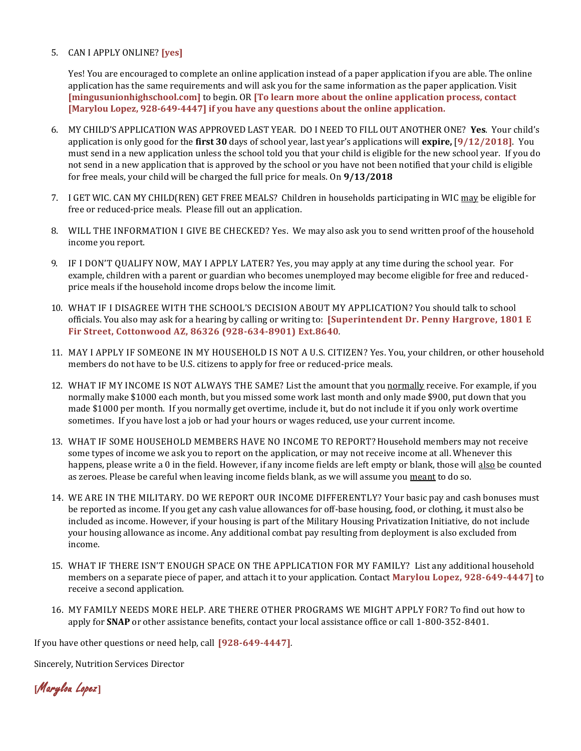### 5. CAN I APPLY ONLINE? **[yes]**

Yes! You are encouraged to complete an online application instead of a paper application if you are able. The online application has the same requirements and will ask you for the same information as the paper application. Visit **[mingusunionhighschool.com]** to begin. OR **[To learn more about the online application process, contact [Marylou Lopez, 928-649-4447] if you have any questions about the online application.**

- 6. MY CHILD'S APPLICATION WAS APPROVED LAST YEAR. DO I NEED TO FILL OUT ANOTHER ONE? **Yes**. Your child's application is only good for the **first 30** days of school year, last year's applications will **expire,** [**9/12/2018]**. You must send in a new application unless the school told you that your child is eligible for the new school year. If you do not send in a new application that is approved by the school or you have not been notified that your child is eligible for free meals, your child will be charged the full price for meals. On **9/13/2018**
- 7. I GET WIC. CAN MY CHILD(REN) GET FREE MEALS? Children in households participating in WIC may be eligible for free or reduced-price meals. Please fill out an application.
- 8. WILL THE INFORMATION I GIVE BE CHECKED? Yes. We may also ask you to send written proof of the household income you report.
- 9. IF I DON'T QUALIFY NOW, MAY I APPLY LATER? Yes, you may apply at any time during the school year. For example, children with a parent or guardian who becomes unemployed may become eligible for free and reducedprice meals if the household income drops below the income limit.
- 10. WHAT IF I DISAGREE WITH THE SCHOOL'S DECISION ABOUT MY APPLICATION? You should talk to school officials. You also may ask for a hearing by calling or writing to: **[Superintendent Dr. Penny Hargrove, 1801 E Fir Street, Cottonwood AZ, 86326 (928-634-8901) Ext.8640***.*
- 11. MAY I APPLY IF SOMEONE IN MY HOUSEHOLD IS NOT A U.S. CITIZEN? Yes. You, your children, or other household members do not have to be U.S. citizens to apply for free or reduced-price meals.
- 12. WHAT IF MY INCOME IS NOT ALWAYS THE SAME? List the amount that you normally receive. For example, if you normally make \$1000 each month, but you missed some work last month and only made \$900, put down that you made \$1000 per month. If you normally get overtime, include it, but do not include it if you only work overtime sometimes. If you have lost a job or had your hours or wages reduced, use your current income.
- 13. WHAT IF SOME HOUSEHOLD MEMBERS HAVE NO INCOME TO REPORT? Household members may not receive some types of income we ask you to report on the application, or may not receive income at all. Whenever this happens, please write a 0 in the field. However, if any income fields are left empty or blank, those will also be counted as zeroes. Please be careful when leaving income fields blank, as we will assume you meant to do so.
- 14. WE ARE IN THE MILITARY. DO WE REPORT OUR INCOME DIFFERENTLY? Your basic pay and cash bonuses must be reported as income. If you get any cash value allowances for off-base housing, food, or clothing, it must also be included as income. However, if your housing is part of the Military Housing Privatization Initiative, do not include your housing allowance as income. Any additional combat pay resulting from deployment is also excluded from income.
- 15. WHAT IF THERE ISN'T ENOUGH SPACE ON THE APPLICATION FOR MY FAMILY? List any additional household members on a separate piece of paper, and attach it to your application. Contact **Marylou Lopez, 928-649-4447]** to receive a second application.
- 16. MY FAMILY NEEDS MORE HELP. ARE THERE OTHER PROGRAMS WE MIGHT APPLY FOR? To find out how to apply for **SNAP** or other assistance benefits, contact your local assistance office or call 1-800-352-8401.

If you have other questions or need help, call **[928-649-4447]***.*

Sincerely, Nutrition Services Director

**[**Marylou Lopez**]**